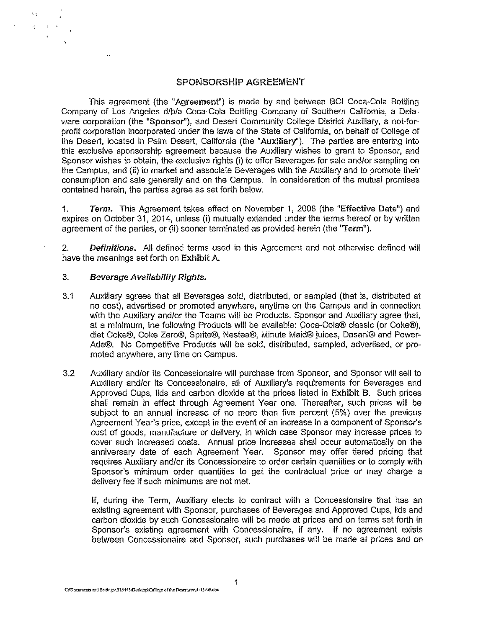#### SPONSORSHIP AGREEMENT

This agreement (the "Agreement") is made by and between BCI Coca-Cola Bottling Company of Los Angeles d/b/a Coca-Cola Boitling Company of Southern Caiifornia, a Delaware corporation (the "Sponsor"), and Desert Community College District Auxiliary, a not-forprofit corporation incorporated under the laws of the State of California, on behalf of College of the Desert, located in Palm Desert, California (the "Auxiliary"). The parties are entering into this exclusive sponsorship agreement because the Auxiliary wishes to grant to Sponsor, and Sponsor wishes to obtain, the· exclusive rights (i) to offer Beverages for sale and/or sampling on the Campus, and (ii) to market and associate Beverages with the Auxiliary and to promote their consumption and sale generally and on the Campus. In consideretion of the mutual promises contained herein, the parties agree as set forth below.

1. Term. This Agreement takes effect on November 1, 2008 (the "Effective Date") and expires on October 31,2014, unless (i) mutually extended under the terms hereof or by written agreement of the parties, or (ii) sooner terminated as provided herein (the "Term").

2. Definitions. All defined terms used in this Agreement and not otherwise defined will have the meanings set forth on Exhibit A.

#### 3. Beverage Availability Rights.

 $\mathbf{z}^{(1,2)}$  and  $\lesssim$ 

- 3.1 Auxiliary agrees that all Beverages sold, distributed, or sampled (that is, distributed at no cost), advertised or promoted anywhere, anytime on the Campus and in connection with the Auxiliary and/or the Teams will be Products. Sponsor and Auxiliary agree that, at a minimum, ihe following Products will be available: Coca-Cola® classic (or Coke®), diei Coke®, Coke Zero®, Sprite®, Nestea®, Minute Maid® juices, Dasani® and Power-Ade®. No Competitive Products will be sold, distributed, sampled, advertised, or promoted anywhere, any time on Campus.
- 3.2 Auxiliary andlor its Concessionaire will purchase from Sponsor, and Sponsor will sell to Auxiliary and/or its Concessionaire, all of Auxiliary's requirements for Beverages and Approved Cups, lids and carbon dioxide at the prices listed in Exhibit B. Such prices shall remain in effect through Agreement Year one. Thereafter, such prices will be subject to an annual increase of no more than five percent (5%) over the previous Agreement Year's price, except in the event of an increase in a component of Sponsor's cost of goods, manufacture or delivery, in which case Sponsor may increase prices to cover such increased costs. Annual price increases shall occur automatically on the anniversary date of each Agreement Year. Sponsor may offer tiered pricing thai requires Auxiliary andlor its Concessionaire to order certain quantities or to comply with Sponsor's minimum order quantities to get the contractual price or may charge a delivery fee if such minimums are not met.

If, during the Term, Auxiliary elects to contract with a Concessionaire that has an existing agreement with Sponsor, purchases of Beverages and Approved Cups, lids and carbon dioxide by such Concessionaire will be made at prices and on terms set forth in Sponsor's existing agreement with Concessionaire, if any. If no agreement exists between Concessionaire and Sponsor, such purchases will be made at prices and on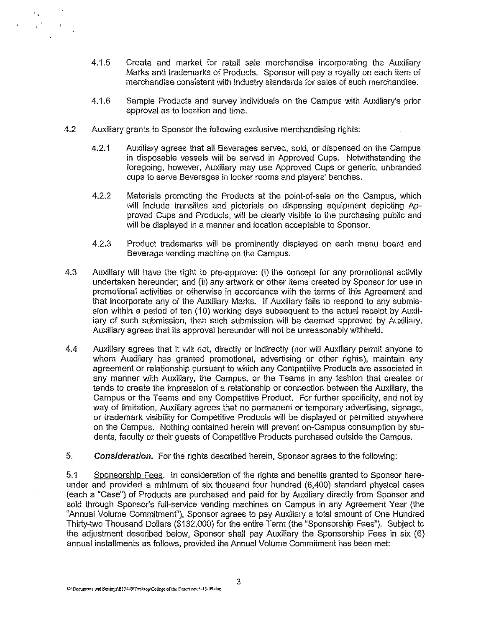- 4.1.5 Create and market for retail sale merchandise incorporating the Auxiliary Marks and trademarks of Products. Sponsor will pay a royalty on each item of merchandise consistent with industry standards for sales of such merchandise.
- 4.1.6 Sample Products and survey individuals on the Campus with Auxiliary's prior approval as to location and time.
- 4.2 Auxiliary grants to Sponsor the following exdusive merchandising rights:

 $\mathbb{F}_4$ 

- 4.2.1 Auxiliary agrees that all Beverages served, sold, or dispensed on the Campus in disposable vessels will be served in Approved Cups. Notwithstanding the foregoing, however, Auxiliary may use Approved Cups or generic, unbranded cups to serve Beverages in locker rooms and players' benches.
- 4.2.2 Materials promoting the Products at the point-of-sale on the Campus, which will include translites and pictorials on dispensing equipment depicting Approved Cups and Products, will be dearly visible to the purchasing public and will be displayed in a manner and location acceptable to Sponsor.
- 4.2.3 Product trademarks will be prominently displayed on each menu board and Beverage vending machine on the Campus.
- 4.3 Auxiliary will have the right to pre-approve: (i) the concept for any promotional activity undertaken hereunder; and (ii) any artwork or other items created by Sponsor for use in promotional activities or otherwise in accordance with the terms of this Agreement and that incorporate any of the Auxiliary Marks. If Auxiliary fails to respond to any submission within a period of ten (10) working days subsequent to the actual receipt by Auxiliary of such submission, then such submission will be deemed approved by Auxiliary. Auxiliary agrees that its approval hereunder will not be unreasonably withheld.
- 4.4 Auxiliary agrees that it will not, directly or indirectly (nor will Auxiliary permit anyone to whom Auxiliary has granted promotional, advertising or other rights), maintain any agreement or relationship pursuant to which any Competitive Products are associated in any manner with Auxiliary, the Campus, or the Teams in any fashion that creates or tends to create the impression of a relationship or connection between the Auxiliary, the Campus or the Teams and any Competitive Product. For further specificity, and not by way of limitation, Auxiliary agrees that no permanent or temporary advertising, signage, or trademark visibility for Competitive Products will be displayed or permitted anywhere on the Campus. Nothing contained herein will prevent on-Campus consumption by students, faculty or their guests of Competitive Products purchased outside the Campus.
- 5. Consideration. For the rights described herein, Sponsor agrees to the following:

5.1 Sponsorship Fees. In consideration of the rights and benefits granted to Sponsor hereunder and provided a minimum of six thousand four hundred (6,400) standard physical cases (each a "Case") of Products are purchased and paid for by Auxiliary directly from Sponsor and sold through Sponsor's full-service vending machines on Campus in any Agreement Year (the "Annual Volume Commitment"), Sponsor agrees to pay Auxiliary a total amount of One Hundred Thirty-two Thousand Dollars (\$132,000) for the entire Term (the "Sponsorship Fees"). Subject to the adjustment described below, Sponsor shall pay Auxiliary the Sponsorship Fees in six (6) annual installments as follows, provided the Annual Volume Commitment has been met: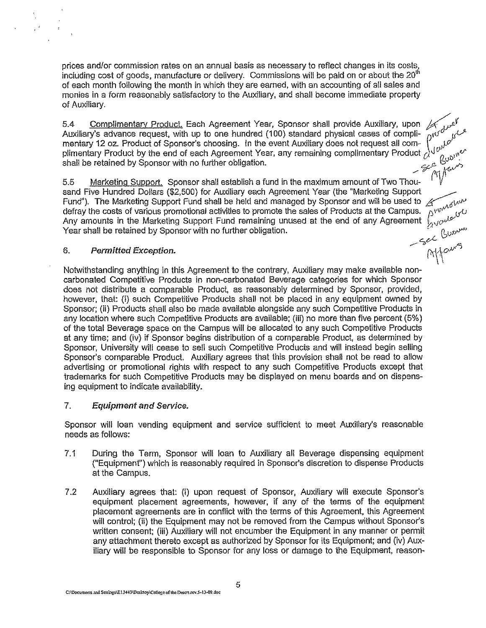prices and/or commission rates on an annual basis as necessary to reflect changes in its costs, including cost of goods, manufacture or delivery. Commissions will be paid on or about the 20<sup>th</sup> of each month following the month in which they are earned, with an accounting of all sales and monies in a form reasonably satisfactory to the Auxiliary, and shall become immediate property of Auxiliary.

or Auxiliary.<br>5.4 <u>Complimentary Product.</u> Each Agreement Year, Sponsor shall provide Auxiliary, upon کلیمن کے اس<br>Auxiliary's advance request, with up to one hundred (100) standard physical cases of compli- آن کلیمن کا mentary 12 oz. Product of Sponsor's choosing. In the event Auxiliary does not request all com-  $\int_{co}^{\infty}$ plimentary Product by the end of each Agreement Year, any remaining complimentary Product  $\alpha^{u\,\nu}_{\;\;\;\;\;\;\;\;\alpha,\alpha''}$ shall be retained by Sponsor with no further obligation. C/fo :>0~ /" ",-(' .. It

5.5 Marketing Support. Sponsor shall establish a fund in the maximum amount of Two Thou-  $\ ^1$   $V$ sand Five Hundred Dollars (\$2,500) for Auxiliary each Agreement Year (the "Marketing Support Fund"). The Marketing Support Fund shall be held and managed by Sponsor and will be used to  $\mathcal{L}_{\text{add}}$ defray the costs of various promotional activities to promote the sales of Products at the Campus.  ${{\tilde D}^{\rm V}}0^{\rm V}$  .  $\mu$ Any amounts in the Marketing Support Fund remaining unused at the end of any Agreement  $~\psi_{\alpha\lambda'}c^{\mu\lambda\beta}$ Year shall be retained by Sponsor with no further obligation.  $\begin{array}{ccc} & \text{if } & \rho_{\rm c}, & \rho_{\rm c}, & \rho_{\rm d}, \end{array}$ 

 $\mathbb{N}$ 

# 6. *Permitted Exception.* ...... "7;0- .,

 $\sim$ 

Notwithstanding anything in this Agreement to the contrary, Auxiliary may make available noncarbonated Competitive Products in non-carbonated Beverage categories for which Sponsor does not distribute a comparable Product, as reasonably determined by Sponsor, provided, however, that: {i} such Competitive Products shall not be placed in any equipment owned by Sponsor; (Ii) Products shall also be made available alongside any such Competitive Products in any location where such Competitive Products are available; (iii) no more than five percent (5%) of the total Beverage space on the Campus will be allocated to any such Competitive Products at any time; and (iv) if Sponsor begins distribution of a comparable Product, as determined by Sponsor, University will cease to sell such Competitive Products and will instead begin selling Sponsor's comparable Product. Auxiliary agrees that this provision shall not be read to allow advertising or promotional rights with respect to any such Competitive Products except that trademarks for such Competitive Products may be displayed on menu boards and on dispensing equipment to indicate availability.

#### 7. Equipment and Service.

Sponsor will loan vending equipment and service sufficient to meet Auxiliary's reasonable needs as follows:

- 7.1 During the Term. Sponsor will loan to Auxiliary all Beverage dispensing equipment ("Equipment") which is reasonably required in Sponsor's discretion to dispense Products at the Campus.
- 7.2 Auxiliary agrees that: (i) upon request of Sponsor, Auxiliary will execute Sponsor's eqUipment placement agreements, however. if any of the terms of the eqUipment placement agreements are in conflict with the terms of this Agreement. this Agreement will control; (ii) the Equipment may not be removed from the Campus without Sponsor's written consent; (iii) Auxiliary will not encumber the Equipment in any manner or permit any attachment thereto except as authorized by Sponsor for its Equipment; and (iv) Auxiliary will be responsible to Sponsor for any loss or damage to the Equipment, reason-

C;VDocuments and Seltings\E13443\Desktop\College of the Descriptov,5-13-09.doc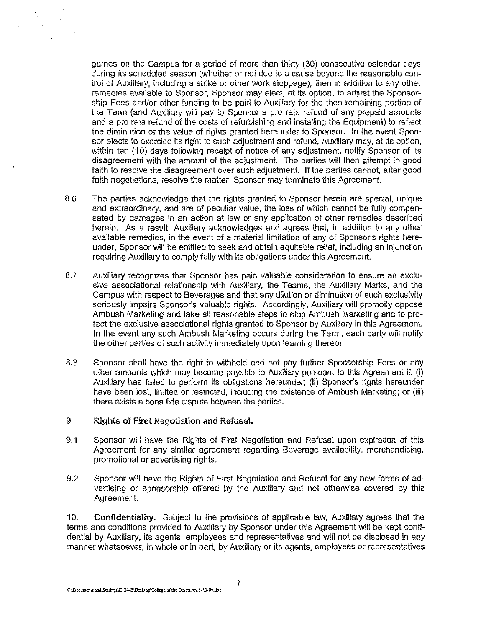games on the Campus for a period of more than thirty (30) consecutive calendar days during its scheduled season (whether or not due to a cause beyond the reasonable control of Auxiliary, including a strike or other work stoppage), then in addition to any other remedies available to Sponsor, Sponsor may elect, at its option, to adjust the Sponsorship Fees and/or other funding to be paid to Auxiliary for the then remaining portion of the Term (and Auxiliary will pay to Sponsor a pro rata refund of any prepaid amounts and a pro rata refund of the costs of refurbishing and installing the Equipment) to reflect the diminution of the value of rights granted hereunder to Sponsor. In the event Sponsor elects to exercise its right to such adjustment and refund, Auxiliary may, at its option, within ten (10) days following receipt of notice of any adjustment, notify Sponsor of its disagreement with the amount of the adjustment. The parties will then attempt in good faith to resoive the disagreement over such adjustment. If the parties cannot, after good faith negotiations, resolve the matter, Sponsor may terminate this Agreement.

- 8.6 The parties acknowledge that the rights granted to Sponsor herein are special, unique and extraordinary, and are of peculiar value, the loss of which cannot be fully compensated by damages in an action at law or any application of other remedies described herein. As a result, Auxiliary acknowledges and agrees that, in addition to any other available remedies, in the event of a material limitation of any of Sponsor's rights hereunder, Sponsor will be entitled to seek and obtain equitable relief, including an injunction requiring Auxiliary to comply fully with its obligations under this Agreement.
- 8.7 Auxiliary recognizes that Sponsor has paid valuable consideration to ensure an exclusive associational relationship with Auxiliary, the Teams, the Auxiliary Marks, and the Campus with respect to Beverages and that any dilution or diminution of such exclusivity seriously impairs Sponsor's valuable rights. Accordingly, Auxiliary will promptly oppose Ambush Marketing and take all reasonable steps to stop Ambush Marketing and to protect the exclusive associational rights granted to Sponsor by Auxiliary in this Agreement. In the event any such Ambush Marketing occurs during the Term, each party will notify the other parties of such activity immediately upon learning thereof.
- 8.8 Sponsor shall have the right to withhold and not pay further Sponsorship Fees or any other amounts which may become payable to Auxiliary pursuant to this Agreement if: (i) Auxiliary has failed to perform its obligations hereunder; (ii) Sponsor's rights hereunder have been lost, limited or restricted, including the existence of Ambush Marketing; or (iii) there exists a bona fide dispute between the parties.

#### 9. Rights of First Negotiation and Refusal.

- 9.1 Sponsor will have the Rights of First Negotiation and Refusal upon expiration of this Agreement for any similar agreement regarding Beverage availability, merchandising, promotional or advertising rights.
- 9.2 Sponsor will have the Rights of First Negotiation and Refusal for any new forms of advertising or sponsorship offered by the Auxiliary and not otherwise covered by this Agreement.

10. Confidentiality. Subject to the provisions of applicable law, Auxiliary agrees that the terms and conditions provided to Auxiliary by Sponsor under this Agreement will be kept confidential by Auxiliary, its agents, employees and representatives and will not be disclosed in any manner whatsoever, in whole or in part, by Auxiliary or its agents, employees or representatives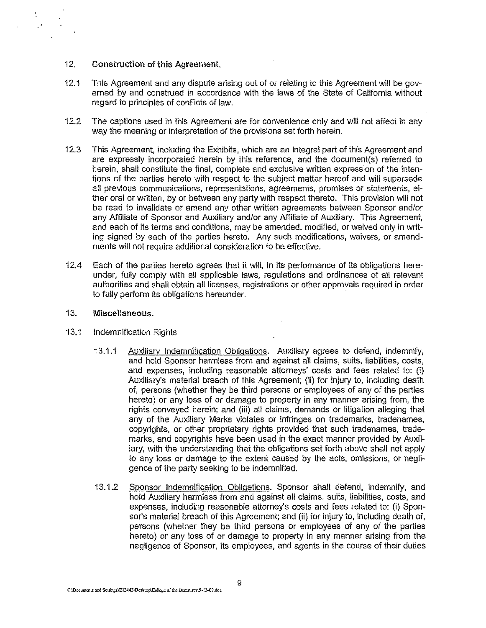#### 12. Construction of this Agreement.

- 12.1 This Agreement and any dispute arising out of or relating to this Agreement will be governed by and construed in accordance with the laws of the State of California without regard to principles of conflicts of law.
- 12.2 The captions used in this Agreement are for convenience only and will not affect in any way the meaning or interpretation of the provisions set forth herein.
- 12.3 This Agreement, including the Exhibits, which are an integral part of this Agreement and are expressly incorporated herein by this reference, and the document(s) referred to herein, shall constitute the final, complete and exclusive written expression of the intentions of the parties hereto with respect to the subject matter hereof and will supersede all previous communications, representations, agreements, promises or statements, either oral or written, by or between any party with respect thereto. This provision will not be read to invalidate or amend any other written agreements between Sponsor andlor any Affiliate of Sponsor and Auxiliary and/or any Affiliate of Auxiliary. This Agreement, and each of its terms and conditions, may be amended, modified, or waived only in writing signed by each of the parties hereto. Any such modifications, waivers, or amendments will not require additional consideraiion to be effective.
- 12.4 Each of the parties hereto agrees that it Will, in its performance of its obligations hereunder, fully comply with all applicable laws, regulations and ordinances of all relevant authorities and shall obtain all licenses, registrations or other approvals required in order to fully perform its obligations hereunder.

#### 13. Miscellaneous.

- 13.1 Indemnification Rights
	- 13.1.1 Auxiliary Indemnification Obligations. Auxiliary agrees to defend, indemnify, and hold Sponsor harmless from and against all claims, suits, liabilities, costs, and expenses, including reasonable attorneys' costs and fees related to: (i) Auxiliary's material breach of this Agreement; (ii) for injury to, including death of, persons (whether they be third persons or employees of any of the parties hereto) or any loss of or damage to property in any manner arising from, the rights conveyed herein; and (iii) all claims, demands or litigation alleging that any of the Auxiliary Marks violates or infringes on trademarks, tradenames, copyrights, or other proprietary rights provided that such tradenames, trademarks, and copyrights have been used in the exact manner provided by Auxiliary, with the understanding that the obligations set forth above shall not apply to any loss or damage to the extent caused by the acts, omissions, or negligence of the party seeking to be indemnified.
	- 13.1.2 Sponsor Indemnification Obligations. Sponsor shall defend, indemnify, and hold Auxiliary harmless from and against all claims, suits, liabilities, costs, and expenses, including reasonable atiorney's costs and fees related to: (i) Sponsor's material breach of this Agreement; and (ii) for injury to, including death of, persons (whether they be third persons or employees of any of the parties hereto) or any loss of or damage to property in any manner arising from the negligence of Sponsor, its employees, and agents in the course of their duties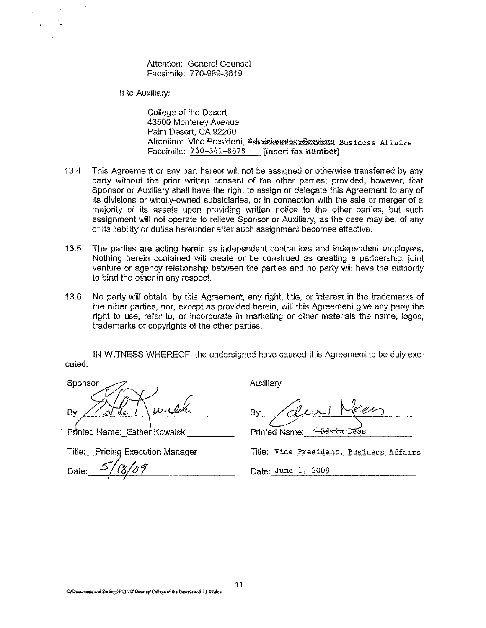Attention: General Counsel Facsimile: 770-989-3619

If to Auxiliary:

College of the Desert 43500 Monterey Avenue Palm Desert, CA 92260 Attention: Vice President, Administrative Services Business Affairs Facsimile: 760-341-8678 **[insert fax number]** 

- 13.4 This Agreement or any part hereof will not be assigned or otherwise transferred by any party without the prior written consent of the other parties; provided, however, that Sponsor or Auxiliary shall have the right to assign or delegate this Agreement to any of its divisions or wholly-owned subsidiaries, or in connection with the sale or merger of a majority of its assets upon providing written notice to the other parties, but such assignment will not operate to relieve Sponsor or Auxiliary, as the case may be, of any of its liability or duties hereunder afier such assignment becomes effective.
- 13.5 The parties are acting herein as independent contractors and independent employers. Nothing herein contained will create or be construed as creating a partnership, joint venture or agency relationship between the parties and no party will have the authority to bind the other in any respect
- 13.6 No party will obtain, by this Agreement, any right, title, or interest in the trademarks of the other parties, nor, except as provided herein, will this Agreement give any party the right to use, refer to, or incorporate in marketing or other materials the name, logos, trademarks or copyrights of the other parties.

IN WITNESS WHEREOF, the undersigned have caused this Agreement to be duly executed.

 $\mathcal{S}$  ponsor By: <u>Cathe | wealther Call</u>

Title: Pricing Execution Manager

Auxiliary

By: / devil Meen

Printed Name: <del>Lawin Deas</del>

Title: Vice President, Business Affairs

Date: 5/18/09

Date: June 1, *2009*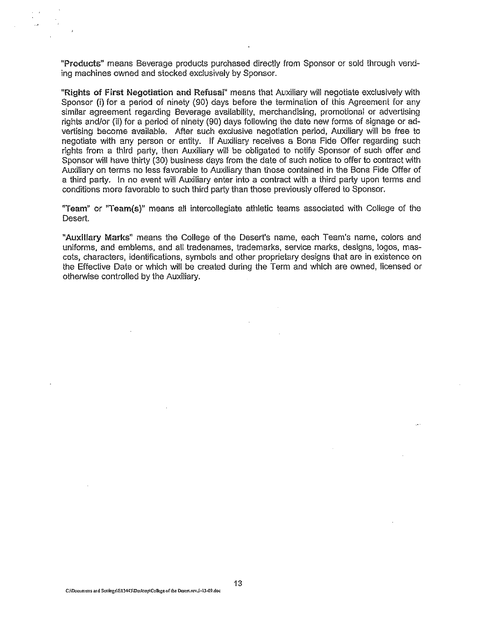"Produots" means Beverage products purchased directly from Sponsor or sold through vending machines owned and siocked exclusively by Sponsor.

"Rights of First Negotiation and Refusal" means that Auxiliary will negotiate exclusively with Sponsor (i) for a period of ninety (90) days before the termination of this Agreement for any similar agreement regarding Beverage availability, merchandising, promotional or advertising rights and/or (ii) for a period of ninety (90) days following the date new forms of signage or advertising become available. After such exclusive negotiation period, Auxiliary will be free to negotiate with any person or entity. If Auxiliary receives a Bona Fide Offer regarding such rights from a third party, then Auxiliary will be obligated to notify Sponsor of such offer and Sponsor will have thirty (30) business days from ihe date of such notice to offer to contract with Auxiliary on terms no less favorable to AUXiliary than those contained in the Bona Fide Offer of a third party. In no event will Auxiliary enter into a contract with a third party upon terms and conditions more favorable to such third party than those previously offered to Sponsor.

"Team" or "Team(s)" means all intercollegiate athletic teams associated with College of the Desert.

"Auxiliary Marks" means the College of the Desert's name, each Team's name, colors and uniforms, and emblems, and all tradenames, trademarks, service marks, designs, logos, mascots, characters, identifications, symbols and other proprietary designs that are in existence on the Effective Date or which will be created during the Term and which are owned, licensed or otherwise controlled by the Auxiliary.

13